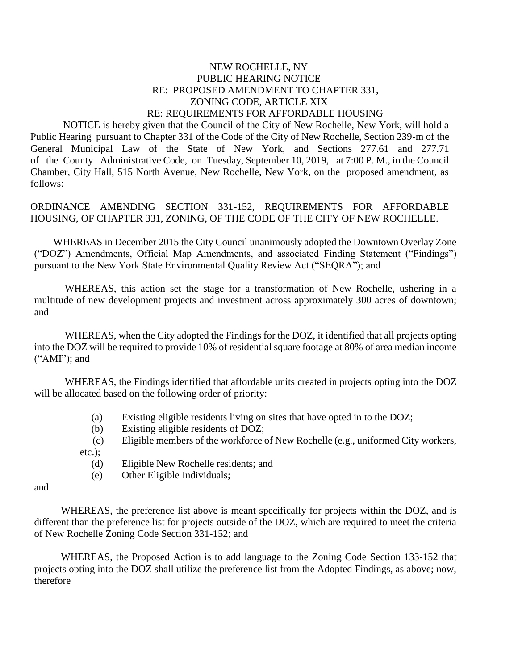## NEW ROCHELLE, NY PUBLIC HEARING NOTICE RE: PROPOSED AMENDMENT TO CHAPTER 331, ZONING CODE, ARTICLE XIX RE: REQUIREMENTS FOR AFFORDABLE HOUSING

 NOTICE is hereby given that the Council of the City of New Rochelle, New York, will hold a Public Hearing pursuant to Chapter 331 of the Code of the City of New Rochelle, Section 239-m of the General Municipal Law of the State of New York, and Sections 277.61 and 277.71 of the County Administrative Code, on Tuesday, September 10, 2019, at 7:00 P. M., in the Council Chamber, City Hall, 515 North Avenue, New Rochelle, New York, on the proposed amendment, as follows:

ORDINANCE AMENDING SECTION 331-152, REQUIREMENTS FOR AFFORDABLE HOUSING, OF CHAPTER 331, ZONING*,* OF THE CODE OF THE CITY OF NEW ROCHELLE.

WHEREAS in December 2015 the City Council unanimously adopted the Downtown Overlay Zone ("DOZ") Amendments, Official Map Amendments, and associated Finding Statement ("Findings") pursuant to the New York State Environmental Quality Review Act ("SEQRA"); and

WHEREAS, this action set the stage for a transformation of New Rochelle, ushering in a multitude of new development projects and investment across approximately 300 acres of downtown; and

WHEREAS, when the City adopted the Findings for the DOZ, it identified that all projects opting into the DOZ will be required to provide 10% of residential square footage at 80% of area median income ("AMI"); and

WHEREAS, the Findings identified that affordable units created in projects opting into the DOZ will be allocated based on the following order of priority:

- (a) Existing eligible residents living on sites that have opted in to the DOZ;
- (b) Existing eligible residents of DOZ;
- (c) Eligible members of the workforce of New Rochelle (e.g., uniformed City workers, etc.);
	- (d) Eligible New Rochelle residents; and
	- (e) Other Eligible Individuals;

and

WHEREAS, the preference list above is meant specifically for projects within the DOZ, and is different than the preference list for projects outside of the DOZ, which are required to meet the criteria of New Rochelle Zoning Code Section 331-152; and

WHEREAS, the Proposed Action is to add language to the Zoning Code Section 133-152 that projects opting into the DOZ shall utilize the preference list from the Adopted Findings, as above; now, therefore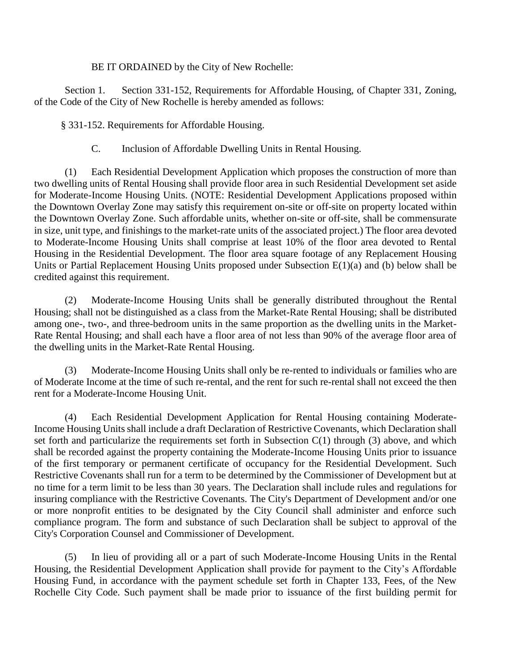BE IT ORDAINED by the City of New Rochelle:

Section 1. Section 331-152, Requirements for Affordable Housing, of Chapter 331, Zoning, of the Code of the City of New Rochelle is hereby amended as follows:

§ 331-152. Requirements for Affordable Housing.

C. Inclusion of Affordable Dwelling Units in Rental Housing.

(1) Each Residential Development Application which proposes the construction of more than two dwelling units of Rental Housing shall provide floor area in such Residential Development set aside for Moderate-Income Housing Units. (NOTE: Residential Development Applications proposed within the Downtown Overlay Zone may satisfy this requirement on-site or off-site on property located within the Downtown Overlay Zone. Such affordable units, whether on-site or off-site, shall be commensurate in size, unit type, and finishings to the market-rate units of the associated project.) The floor area devoted to Moderate-Income Housing Units shall comprise at least 10% of the floor area devoted to Rental Housing in the Residential Development. The floor area square footage of any Replacement Housing Units or Partial Replacement Housing Units proposed under Subsection E(1)(a) and (b) below shall be credited against this requirement.

(2) Moderate-Income Housing Units shall be generally distributed throughout the Rental Housing; shall not be distinguished as a class from the Market-Rate Rental Housing; shall be distributed among one-, two-, and three-bedroom units in the same proportion as the dwelling units in the Market-Rate Rental Housing; and shall each have a floor area of not less than 90% of the average floor area of the dwelling units in the Market-Rate Rental Housing.

(3) Moderate-Income Housing Units shall only be re-rented to individuals or families who are of Moderate Income at the time of such re-rental, and the rent for such re-rental shall not exceed the then rent for a Moderate-Income Housing Unit.

(4) Each Residential Development Application for Rental Housing containing Moderate-Income Housing Units shall include a draft Declaration of Restrictive Covenants, which Declaration shall set forth and particularize the requirements set forth in Subsection  $C(1)$  through (3) above, and which shall be recorded against the property containing the Moderate-Income Housing Units prior to issuance of the first temporary or permanent certificate of occupancy for the Residential Development. Such Restrictive Covenants shall run for a term to be determined by the Commissioner of Development but at no time for a term limit to be less than 30 years. The Declaration shall include rules and regulations for insuring compliance with the Restrictive Covenants. The City's Department of Development and/or one or more nonprofit entities to be designated by the City Council shall administer and enforce such compliance program. The form and substance of such Declaration shall be subject to approval of the City's Corporation Counsel and Commissioner of Development.

(5) In lieu of providing all or a part of such Moderate-Income Housing Units in the Rental Housing, the Residential Development Application shall provide for payment to the City's Affordable Housing Fund, in accordance with the payment schedule set forth in Chapter 133, Fees, of the New Rochelle City Code. Such payment shall be made prior to issuance of the first building permit for